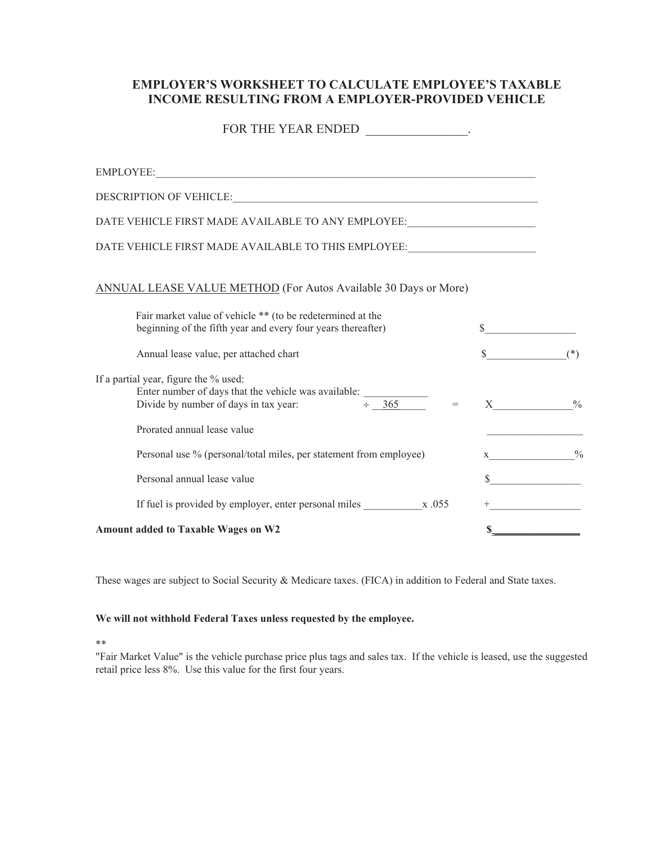## **EMPLOYER'S WORKSHEET TO CALCULATE EMPLOYEE'S TAXABLE INCOME RESULTING FROM A EMPLOYER-PROVIDED VEHICLE**

| FOR THE YEAR ENDED _______________.                                                                                                                                  |         |                                          |
|----------------------------------------------------------------------------------------------------------------------------------------------------------------------|---------|------------------------------------------|
|                                                                                                                                                                      |         |                                          |
|                                                                                                                                                                      |         |                                          |
| DATE VEHICLE FIRST MADE AVAILABLE TO ANY EMPLOYEE:______________________________                                                                                     |         |                                          |
| DATE VEHICLE FIRST MADE AVAILABLE TO THIS EMPLOYEE:_____________________________                                                                                     |         |                                          |
| <b>ANNUAL LEASE VALUE METHOD</b> (For Autos Available 30 Days or More)                                                                                               |         |                                          |
| Fair market value of vehicle ** (to be redetermined at the<br>beginning of the fifth year and every four years thereafter)                                           | $\sim$  |                                          |
| Annual lease value, per attached chart                                                                                                                               | $\sim$  | $(*)$                                    |
| If a partial year, figure the % used:<br>Enter number of days that the vehicle was available:<br>Divide by number of days in tax year: $\div \underline{365}$<br>$=$ |         | $\mathbf{X}$ $\qquad \qquad \ ^{ \ 0\!}$ |
| Prorated annual lease value                                                                                                                                          |         |                                          |
| Personal use % (personal/total miles, per statement from employee)                                                                                                   | $X$ 0/0 |                                          |
| Personal annual lease value                                                                                                                                          |         | s                                        |
| If fuel is provided by employer, enter personal miles $\frac{x}{0.055}$                                                                                              |         |                                          |
| <b>Amount added to Taxable Wages on W2</b>                                                                                                                           |         |                                          |

These wages are subject to Social Security & Medicare taxes. (FICA) in addition to Federal and State taxes.

## **We will not withhold Federal Taxes unless requested by the employee.**

\*\*

"Fair Market Value" is the vehicle purchase price plus tags and sales tax. If the vehicle is leased, use the suggested retail price less 8%. Use this value for the first four years.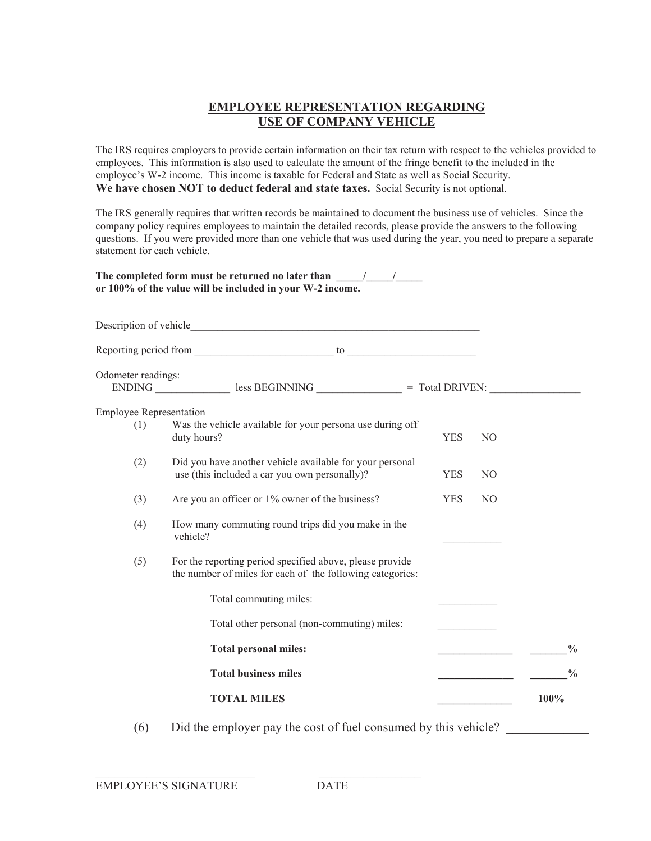## **EMPLOYEE REPRESENTATION REGARDING USE OF COMPANY VEHICLE**

The IRS requires employers to provide certain information on their tax return with respect to the vehicles provided to employees. This information is also used to calculate the amount of the fringe benefit to the included in the employee's W-2 income. This income is taxable for Federal and State as well as Social Security. **We have chosen NOT to deduct federal and state taxes.** Social Security is not optional.

The IRS generally requires that written records be maintained to document the business use of vehicles. Since the company policy requires employees to maintain the detailed records, please provide the answers to the following questions. If you were provided more than one vehicle that was used during the year, you need to prepare a separate statement for each vehicle.

|                                | The completed form must be returned no later than $\frac{1}{\sqrt{1-\frac{1}{2}}}$<br>or 100% of the value will be included in your W-2 income. |            |                |               |
|--------------------------------|-------------------------------------------------------------------------------------------------------------------------------------------------|------------|----------------|---------------|
|                                |                                                                                                                                                 |            |                |               |
|                                |                                                                                                                                                 |            |                |               |
| Odometer readings:             |                                                                                                                                                 |            |                |               |
| <b>Employee Representation</b> |                                                                                                                                                 |            |                |               |
| (1)                            | Was the vehicle available for your persona use during off<br>duty hours?                                                                        | <b>YES</b> | N <sub>O</sub> |               |
| (2)                            | Did you have another vehicle available for your personal<br>use (this included a car you own personally)?                                       | <b>YES</b> | N <sub>O</sub> |               |
| (3)                            | Are you an officer or 1% owner of the business?                                                                                                 | <b>YES</b> | N <sub>O</sub> |               |
| (4)                            | How many commuting round trips did you make in the<br>vehicle?                                                                                  |            |                |               |
| (5)                            | For the reporting period specified above, please provide<br>the number of miles for each of the following categories:                           |            |                |               |
|                                | Total commuting miles:                                                                                                                          |            |                |               |
|                                | Total other personal (non-commuting) miles:                                                                                                     |            |                |               |
|                                | <b>Total personal miles:</b>                                                                                                                    |            |                | $\frac{0}{0}$ |
|                                | <b>Total business miles</b>                                                                                                                     |            |                | $\frac{0}{0}$ |
|                                | <b>TOTAL MILES</b>                                                                                                                              |            |                | 100%          |

(6) Did the employer pay the cost of fuel consumed by this vehicle? \_\_\_\_\_\_\_\_\_\_\_\_\_